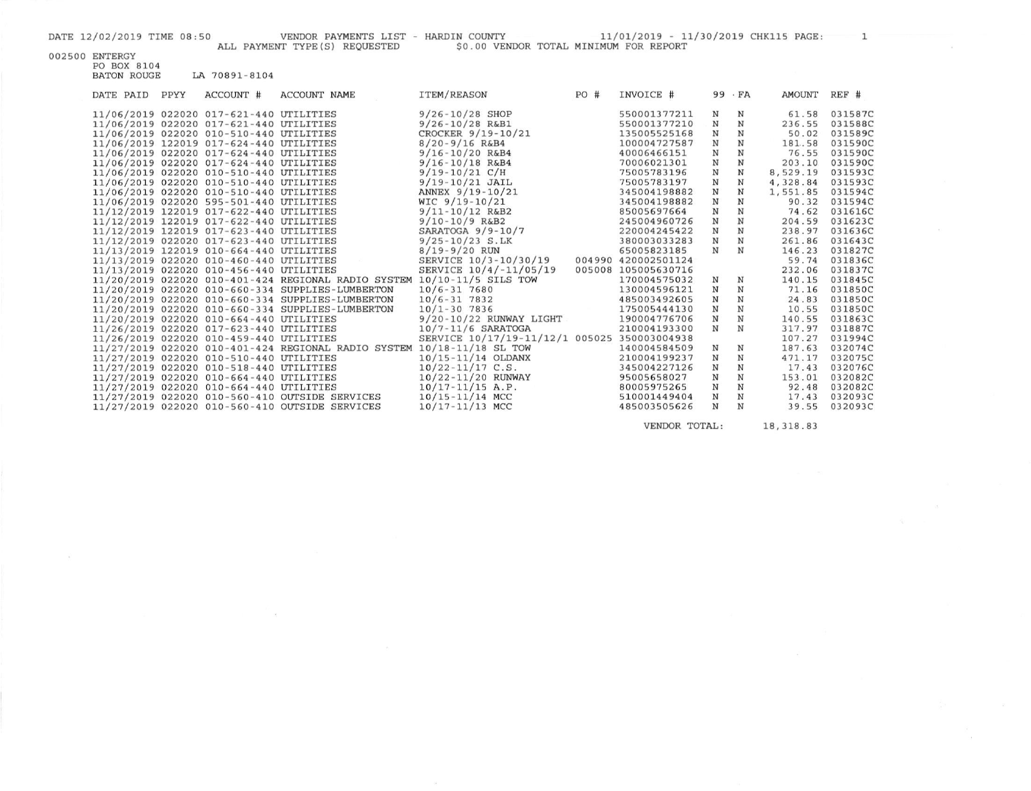## 002500 ENTERGY<br>PO BOX 8104<br>BATON ROUGE LA 70891-8104

| DATE PAID | PPYY | ACCOUNT #                               | ACCOUNT NAME                                                            | ITEM/REASON                                  | PO# | INVOICE #           |              | $99 \cdot FA$ | AMOUNT   | $REF$ # |
|-----------|------|-----------------------------------------|-------------------------------------------------------------------------|----------------------------------------------|-----|---------------------|--------------|---------------|----------|---------|
|           |      | 11/06/2019 022020 017-621-440 UTILITIES |                                                                         | $9/26 - 10/28$ SHOP                          |     | 550001377211        | N            | N             | 61.58    | 0315870 |
|           |      | 11/06/2019 022020 017-621-440 UTILITIES |                                                                         | $9/26 - 10/28$ R&B1                          |     | 550001377210        | N            | N             | 236.55   | 031588C |
|           |      | 11/06/2019 022020 010-510-440 UTILITIES |                                                                         | CROCKER 9/19-10/21                           |     | 135005525168        | N            | N             | 50.02    | 0315890 |
|           |      | 11/06/2019 122019 017-624-440 UTILITIES |                                                                         | $8/20 - 9/16$ R&B4                           |     | 100004727587        | $_{\rm N}$   | N             | 181.58   | 0315900 |
|           |      | 11/06/2019 022020 017-624-440 UTILITIES |                                                                         | $9/16 - 10/20$ R&B4                          |     | 40006466151         | N            | N             | 76.55    | 0315900 |
|           |      | 11/06/2019 022020 017-624-440 UTILITIES |                                                                         | $9/16 - 10/18$ R&B4                          |     | 70006021301         | N            | N             | 203.10   | 0315900 |
|           |      | 11/06/2019 022020 010-510-440 UTILITIES |                                                                         | $9/19 - 10/21$ C/H                           |     | 75005783196         | $\mathbf N$  | N             | 8,529.19 | 031593C |
|           |      | 11/06/2019 022020 010-510-440 UTILITIES |                                                                         | $9/19 - 10/21$ JAIL                          |     | 75005783197         | $\mathbf N$  | N             | 4,328.84 | 031593C |
|           |      | 11/06/2019 022020 010-510-440 UTILITIES |                                                                         | ANNEX 9/19-10/21                             |     | 345004198882        | Ν            | N             | 1,551.85 | 031594C |
|           |      | 11/06/2019 022020 595-501-440 UTILITIES |                                                                         | $WIC$ 9/19-10/21                             |     | 345004198882        | N            | N             | 90.32    | 031594C |
|           |      | 11/12/2019 122019 017-622-440 UTILITIES |                                                                         | $9/11 - 10/12$ R&B2                          |     | 85005697664         | $\, {\rm N}$ | N             | 74.62    | 0316160 |
|           |      | 11/12/2019 122019 017-622-440 UTILITIES |                                                                         | $9/10 - 10/9$ R&B2                           |     | 245004960726        | $\, {\rm N}$ | $\mathbf N$   | 204.59   | 031623C |
|           |      | 11/12/2019 122019 017-623-440 UTILITIES |                                                                         | SARATOGA $9/9-10/7$                          |     | 220004245422        | $\, {\rm N}$ | N             | 238.97   | 031636C |
|           |      | 11/12/2019 022020 017-623-440 UTILITIES |                                                                         | $9/25 - 10/23$ S.LK                          |     | 380003033283        | $\, {\rm N}$ | N             | 261.86   | 0316430 |
|           |      | 11/13/2019 122019 010-664-440 UTILITIES |                                                                         | $8/19 - 9/20$ RUN                            |     | 65005823185         | N            | N             | 146.23   | 0318270 |
|           |      | 11/13/2019 022020 010-460-440 UTILITIES |                                                                         | SERVICE 10/3-10/30/19                        |     | 004990 420002501124 |              |               | 59.74    | 031836C |
|           |      | 11/13/2019 022020 010-456-440 UTILITIES |                                                                         | SERVICE 10/4/-11/05/19                       |     | 005008 105005630716 |              |               | 232.06   | 0318370 |
|           |      |                                         | 11/20/2019 022020 010-401-424 REGIONAL RADIO SYSTEM 10/10-11/5 SILS TOW |                                              |     | 170004575032        | N            | N             | 140.15   | 031845C |
|           |      |                                         | 11/20/2019 022020 010-660-334 SUPPLIES-LUMBERTON                        | $10/6 - 317680$                              |     | 130004596121        | $\mathbf N$  | N             | 71.16    | 031850C |
|           |      |                                         | 11/20/2019 022020 010-660-334 SUPPLIES-LUMBERTON                        | $10/6 - 317832$                              |     | 485003492605        | $\mathbf N$  | N             | 24.83    | 0318500 |
|           |      |                                         | 11/20/2019 022020 010-660-334 SUPPLIES-LUMBERTON                        | $10/1 - 30$ 7836                             |     | 175005444130        | N            | $\mathbf N$   | 10.55    | 0318500 |
|           |      | 11/20/2019 022020 010-664-440 UTILITIES |                                                                         | 9/20-10/22 RUNWAY LIGHT                      |     | 190004776706        | $\mathbf N$  | $\mathbf N$   | 140.55   | 031863C |
|           |      | 11/26/2019 022020 017-623-440 UTILITIES |                                                                         | $10/7 - 11/6$ SARATOGA                       |     | 210004193300        | $_{\rm N}$   | N             | 317.97   | 031887C |
|           |      | 11/26/2019 022020 010-459-440 UTILITIES |                                                                         | SERVICE 10/17/19-11/12/1 005025 350003004938 |     |                     |              |               | 107.27   | 031994C |
|           |      |                                         | 11/27/2019 022020 010-401-424 REGIONAL RADIO SYSTEM 10/18-11/18 SL TOW  |                                              |     | 140004584509        | N            | N             | 187.63   | 032074C |
|           |      | 11/27/2019 022020 010-510-440 UTILITIES |                                                                         | $10/15 - 11/14$ OLDANX                       |     | 210004199237        | N            | N             | 471.17   | 0320750 |
|           |      | 11/27/2019 022020 010-518-440 UTILITIES |                                                                         | $10/22 - 11/17$ C.S.                         |     | 345004227126        | $_{\rm N}$   | N             | 17.43    | 0320760 |
|           |      | 11/27/2019 022020 010-664-440 UTILITIES |                                                                         | 10/22-11/20 RUNWAY                           |     | 95005658027         | N            | N             | 153.01   | 032082C |
|           |      | 11/27/2019 022020 010-664-440 UTILITIES |                                                                         | $10/17 - 11/15$ A.P.                         |     | 80005975265         | N            | $\mathbf N$   | 92.48    | 0320820 |
|           |      |                                         | 11/27/2019 022020 010-560-410 OUTSIDE SERVICES                          | 10/15-11/14 MCC                              |     | 510001449404        | ${\bf N}$    | N             | 17.43    | 032093C |
|           |      |                                         | 11/27/2019 022020 010-560-410 OUTSIDE SERVICES                          | 10/17-11/13 MCC                              |     | 485003505626        | N            | N             | 39.55    | 032093C |
|           |      |                                         |                                                                         |                                              |     |                     |              |               |          |         |

 $-60\,$ 

VENDOR TOTAL:

18, 318.83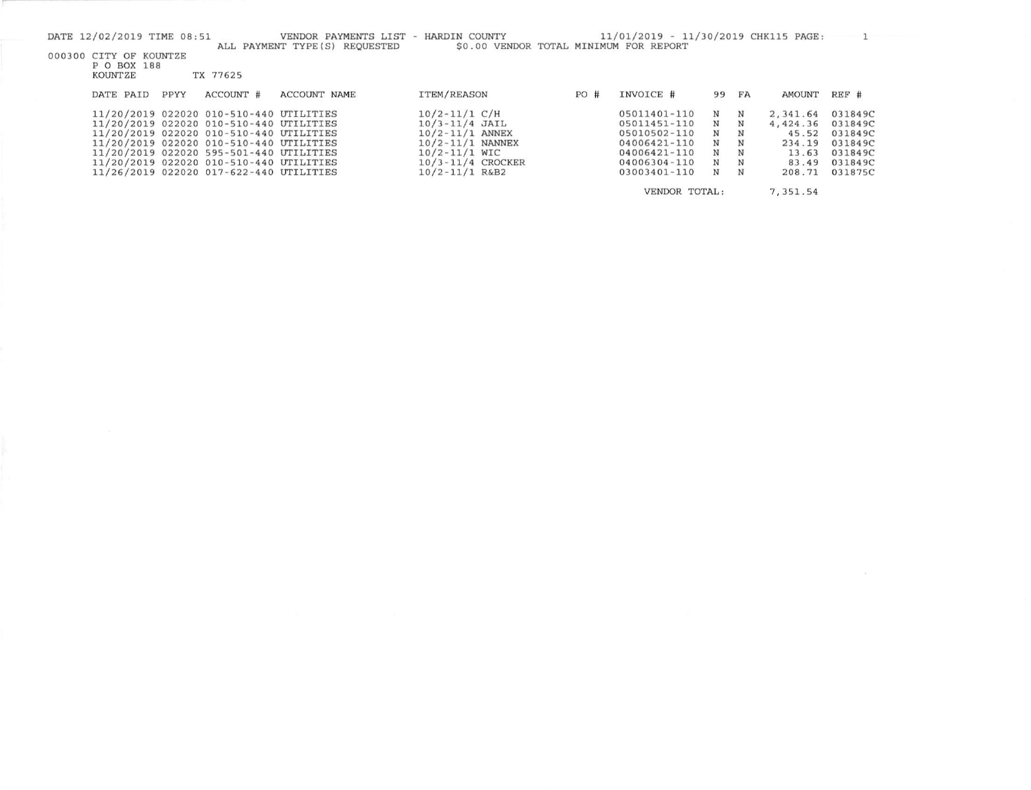|  | DATE 12/02/2019 TIME 08:51<br>000300 CITY OF KOUNTZE |      |           | VENDOR PAYMENTS LIST - HARDIN COUNTY<br>ALL PAYMENT TYPE (S) REOUESTED | \$0.00 VENDOR TOTAL MINIMUM FOR REPORT |               | 11/01/2019 - 11/30/2019 CHK115 PAGE: |    |          |               |         |
|--|------------------------------------------------------|------|-----------|------------------------------------------------------------------------|----------------------------------------|---------------|--------------------------------------|----|----------|---------------|---------|
|  | P O BOX 188                                          |      |           |                                                                        |                                        |               |                                      |    |          |               |         |
|  | KOUNTZE                                              |      | TX 77625  |                                                                        |                                        |               |                                      |    |          |               |         |
|  | DATE PAID                                            | PPYY | ACCOUNT # | <b>ACCOUNT NAME</b>                                                    | ITEM/REASON                            | PO#           | INVOICE #                            | 99 | FA       | <b>AMOUNT</b> | REF #   |
|  | 11/20/2019 022020 010-510-440 UTILITIES              |      |           |                                                                        | $10/2 - 11/1 C/H$                      |               | 05011401-110                         | N  | N        | 2,341.64      | 031849C |
|  | 11/20/2019 022020 010-510-440 UTILITIES              |      |           |                                                                        | $10/3 - 11/4$ JAIL                     |               | 05011451-110                         | N  | N        | 4,424.36      | 031849C |
|  | 11/20/2019 022020 010-510-440 UTILITIES              |      |           |                                                                        | $10/2 - 11/1$ ANNEX                    |               | 05010502-110                         | N  | N        | 45.52         | 031849C |
|  | 11/20/2019 022020 010-510-440 UTILITIES              |      |           |                                                                        | $10/2 - 11/1$ NANNEX                   |               | 04006421-110                         | N  | N        | 234.19        | 031849C |
|  | 11/20/2019 022020 595-501-440 UTILITIES              |      |           |                                                                        | $10/2 - 11/1$ WIC                      |               | 04006421-110                         | N  | N        | 13.63         | 031849C |
|  | 11/20/2019 022020 010-510-440 UTILITIES              |      |           |                                                                        | $10/3 - 11/4$ CROCKER                  |               | 04006304-110                         | N  | N        | 83.49         | 031849C |
|  | 11/26/2019 022020 017-622-440 UTILITIES              |      |           |                                                                        | $10/2 - 11/1$ R&B2                     |               | 03003401-110                         | N  | N        | 208.71        | 031875C |
|  |                                                      |      |           |                                                                        |                                        | VENDOR TOTAL: |                                      |    | 7,351.54 |               |         |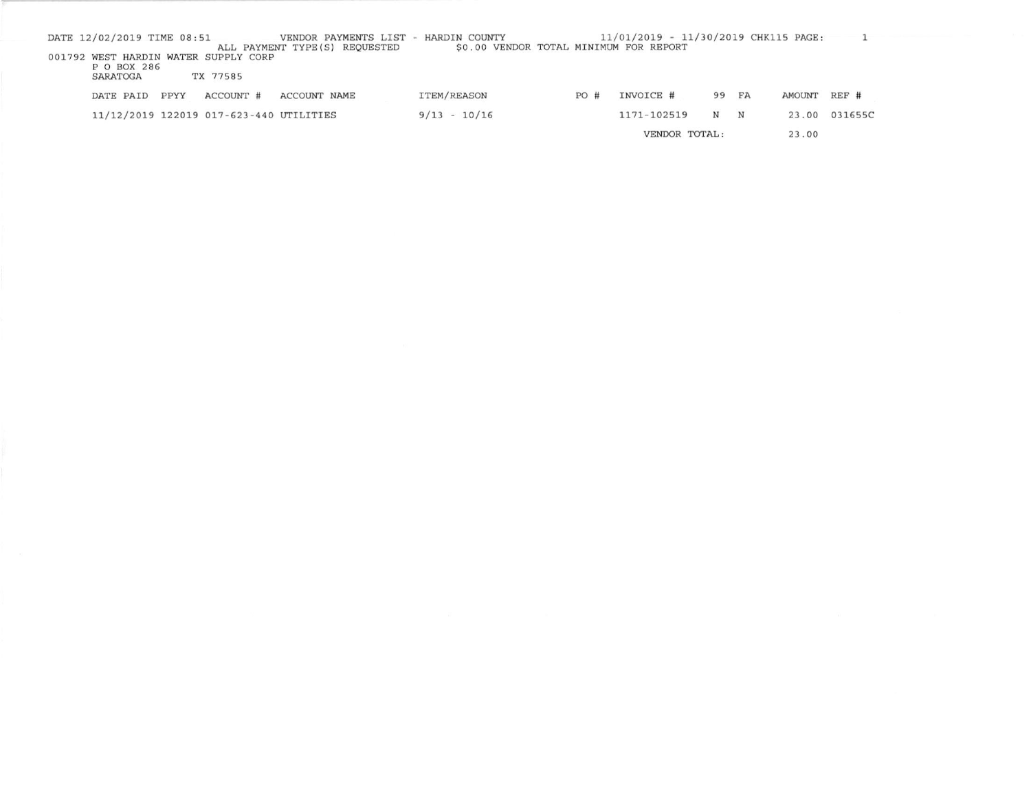| DATE 12/02/2019 TIME 08:51 |      |                                         |                                | VENDOR PAYMENTS LIST - HARDIN COUNTY |                                        |     | 11/01/2019 - 11/30/2019 CHK115 PAGE: |               |       |              |               |
|----------------------------|------|-----------------------------------------|--------------------------------|--------------------------------------|----------------------------------------|-----|--------------------------------------|---------------|-------|--------------|---------------|
|                            |      |                                         | ALL PAYMENT TYPE (S) REQUESTED |                                      | \$0.00 VENDOR TOTAL MINIMUM FOR REPORT |     |                                      |               |       |              |               |
|                            |      | 001792 WEST HARDIN WATER SUPPLY CORP    |                                |                                      |                                        |     |                                      |               |       |              |               |
| P O BOX 286<br>SARATOGA    |      | TX 77585                                |                                |                                      |                                        |     |                                      |               |       |              |               |
| DATE PAID                  | PPYY | ACCOUNT #                               | ACCOUNT NAME                   | ITEM/REASON                          |                                        | PO# | INVOICE #                            |               | 99 FA | AMOUNT REF # |               |
|                            |      | 11/12/2019 122019 017-623-440 UTILITIES |                                | $9/13 - 10/16$                       |                                        |     | 1171-102519                          | N N           |       |              | 23.00 031655C |
|                            |      |                                         |                                |                                      |                                        |     |                                      | VENDOR TOTAL: |       | 23.00        |               |

VENDOR TOTAL: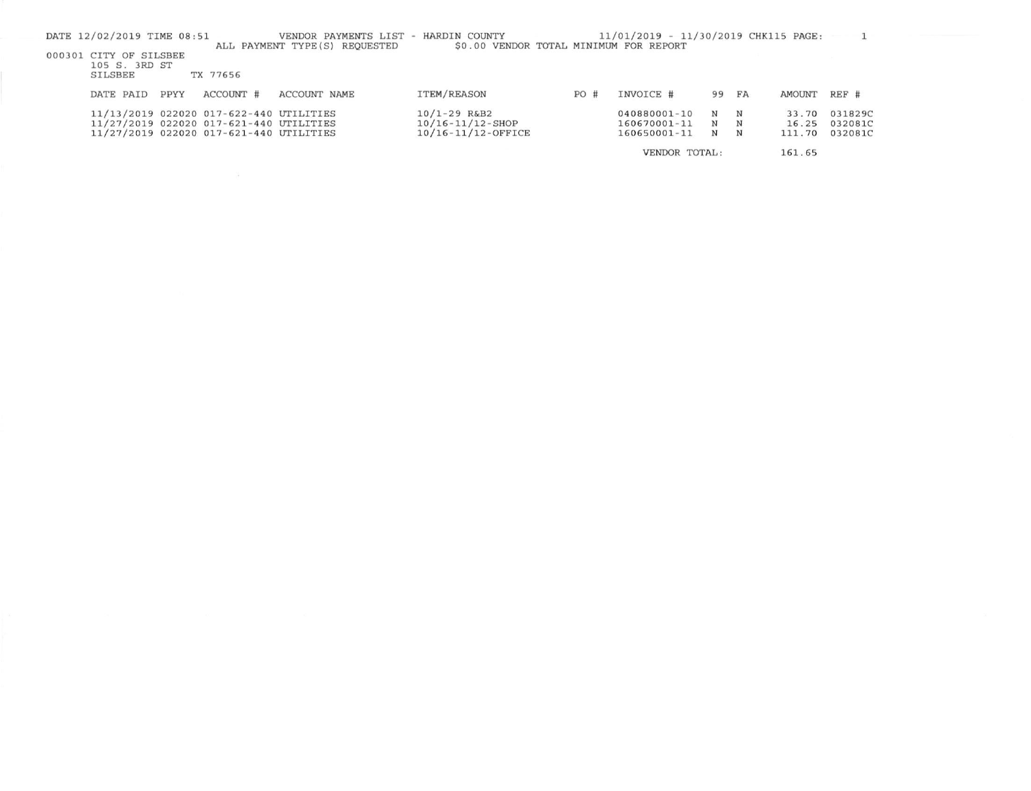|  | DATE 12/02/2019 TIME 08:51 |      |                                         | VENDOR PAYMENTS LIST           | HARDIN COUNTY                          |     | 11/01/2019 - 11/30/2019 CHK115 PAGE: |             |   |        |         |
|--|----------------------------|------|-----------------------------------------|--------------------------------|----------------------------------------|-----|--------------------------------------|-------------|---|--------|---------|
|  | 000301 CITY OF SILSBEE     |      |                                         | ALL PAYMENT TYPE (S) REOUESTED | \$0.00 VENDOR TOTAL MINIMUM FOR REPORT |     |                                      |             |   |        |         |
|  | 105 S. 3RD ST              |      |                                         |                                |                                        |     |                                      |             |   |        |         |
|  | SILSBEE                    |      | TX 77656                                |                                |                                        |     |                                      |             |   |        |         |
|  | DATE PAID                  | PPYY | ACCOUNT #                               | ACCOUNT NAME                   | <b>ITEM/REASON</b>                     | PO# | INVOICE #                            | 99 FA       |   | AMOUNT | $REF$ # |
|  |                            |      | 11/13/2019 022020 017-622-440 UTILITIES |                                | $10/1 - 29$ R&B2                       |     | 040880001-10                         | N           | N | 33.70  | 031829C |
|  |                            |      | 11/27/2019 022020 017-621-440 UTILITIES |                                | $10/16 - 11/12 -$ SHOP                 |     | 160670001-11                         | $\mathbf N$ | N | 16.25  | 032081C |
|  |                            |      | 11/27/2019 022020 017-621-440 UTILITIES |                                | 10/16-11/12-OFFICE                     |     | 160650001-11                         | $\mathbf N$ | N | 111.70 | 032081C |
|  |                            |      |                                         |                                |                                        |     | VENDOR TOTAL:                        |             |   | 161.65 |         |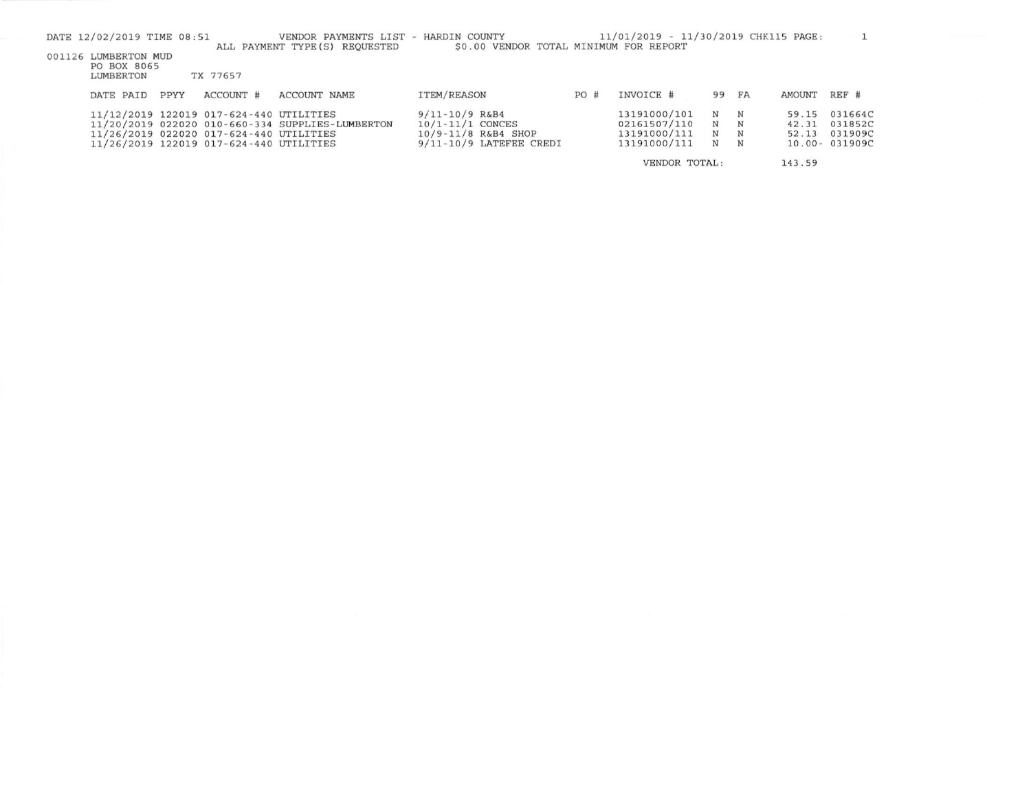| DATE 12/02/2019 TIME 08:51 |      |                                         | VENDOR PAYMENTS LIST                             | HARDIN COUNTY                          |     | 11/01/2019 - 11/30/2019 CHK115 PAGE: |   |       |        |               |
|----------------------------|------|-----------------------------------------|--------------------------------------------------|----------------------------------------|-----|--------------------------------------|---|-------|--------|---------------|
|                            |      |                                         | ALL PAYMENT TYPE (S) REOUESTED                   | \$0.00 VENDOR TOTAL MINIMUM FOR REPORT |     |                                      |   |       |        |               |
| 001126 LUMBERTON MUD       |      |                                         |                                                  |                                        |     |                                      |   |       |        |               |
| PO BOX 8065                |      |                                         |                                                  |                                        |     |                                      |   |       |        |               |
| LUMBERTON                  |      | TX 77657                                |                                                  |                                        |     |                                      |   |       |        |               |
|                            |      |                                         |                                                  |                                        |     |                                      |   |       |        |               |
| DATE PAID                  | PPYY | ACCOUNT #                               | <b>ACCOUNT NAME</b>                              | ITEM/REASON                            | PO# | INVOICE #                            |   | 99 FA | AMOUNT | REF #         |
|                            |      | 11/12/2019 122019 017-624-440 UTILITIES |                                                  | $9/11 - 10/9$ R&B4                     |     | 13191000/101                         | N | N     | 59.15  | 031664C       |
|                            |      |                                         |                                                  |                                        |     |                                      |   |       |        |               |
|                            |      |                                         | 11/20/2019 022020 010-660-334 SUPPLIES-LUMBERTON | $10/1 - 11/1$ CONCES                   |     | 02161507/110 N                       |   | N     | 42.31  | 031852C       |
|                            |      | 11/26/2019 022020 017-624-440 UTILITIES |                                                  | $10/9 - 11/8$ R&B4 SHOP                |     | 13191000/111                         | N | N     | 52.13  | 031909C       |
|                            |      | 11/26/2019 122019 017-624-440 UTILITIES |                                                  | $9/11 - 10/9$ LATEFEE CREDI            |     | 13191000/111                         | N | N     |        | 10.00-031909C |
|                            |      |                                         |                                                  |                                        |     | VENDOR TOTAL:                        |   |       | 143.59 |               |
|                            |      |                                         |                                                  |                                        |     |                                      |   |       |        |               |